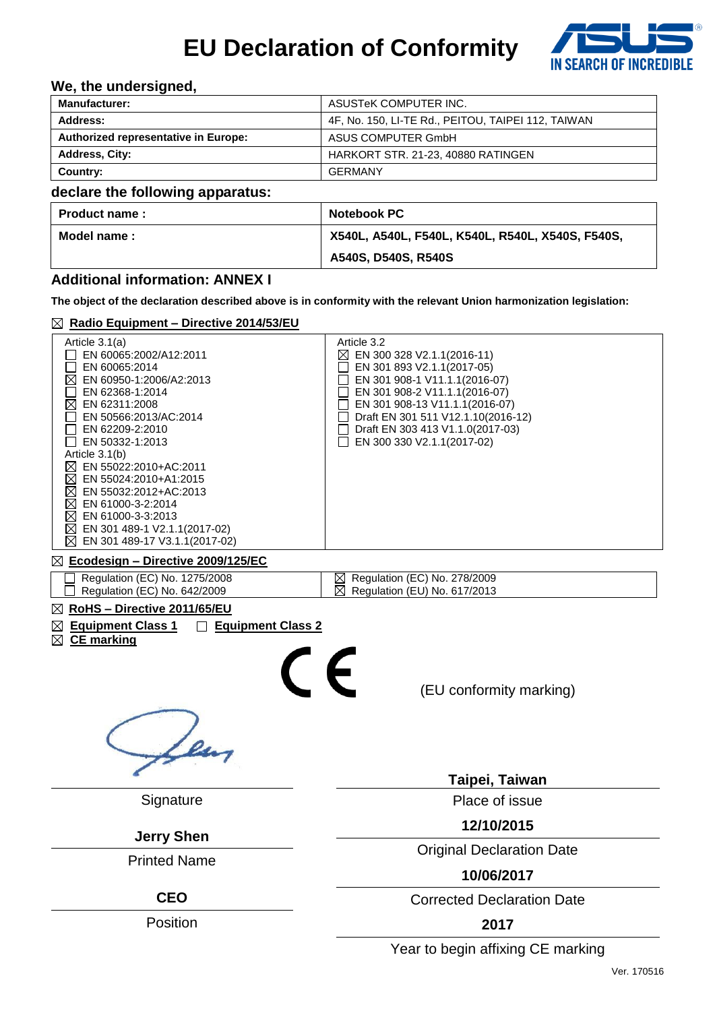# **EU Declaration of Conformity**



# **We, the undersigned,**

| Deadling and a                       | Matalanak DO                                       |  |  |  |
|--------------------------------------|----------------------------------------------------|--|--|--|
| declare the following apparatus:     |                                                    |  |  |  |
| Country:                             | GERMANY                                            |  |  |  |
| <b>Address, City:</b>                | HARKORT STR. 21-23, 40880 RATINGEN                 |  |  |  |
| Authorized representative in Europe: | ASUS COMPUTER GmbH                                 |  |  |  |
| Address:                             | 4F, No. 150, LI-TE Rd., PEITOU, TAIPEI 112, TAIWAN |  |  |  |
| <b>Manufacturer:</b>                 | ASUSTEK COMPUTER INC.                              |  |  |  |

| l Product name : | Notebook PC                                      |  |  |  |
|------------------|--------------------------------------------------|--|--|--|
| Model name:      | X540L, A540L, F540L, K540L, R540L, X540S, F540S, |  |  |  |
|                  | A540S, D540S, R540S                              |  |  |  |

## **Additional information: ANNEX I**

**The object of the declaration described above is in conformity with the relevant Union harmonization legislation:**

#### **Radio Equipment – Directive 2014/53/EU**

| Article $3.1(a)$<br>EN 60065:2002/A12:2011<br>EN 60065:2014<br>EN 60950-1:2006/A2:2013<br>⊠<br>EN 62368-1:2014<br>EN 62311:2008<br>M<br>EN 50566:2013/AC:2014<br>EN 62209-2:2010<br>EN 50332-1:2013<br>Article 3.1(b)<br>$\boxtimes$ EN 55022:2010+AC:2011<br>EN 55024:2010+A1:2015<br>⊠<br>$\boxtimes$ EN 55032:2012+AC:2013<br>$\boxtimes$ EN 61000-3-2:2014<br>$\boxtimes$ EN 61000-3-3:2013<br>⊠ EN 301 489-1 V2.1.1(2017-02)<br>⊠ EN 301 489-17 V3.1.1(2017-02) | Article 3.2<br>$\boxtimes$ EN 300 328 V2.1.1(2016-11)<br>EN 301 893 V2.1.1(2017-05)<br>EN 301 908-1 V11.1.1(2016-07)<br>EN 301 908-2 V11.1.1(2016-07)<br>□ EN 301 908-13 V11.1.1(2016-07)<br>Draft EN 301 511 V12.1.10(2016-12)<br>$\Box$ Draft EN 303 413 V1.1.0(2017-03)<br>$\Box$ EN 300 330 V2.1.1(2017-02) |
|----------------------------------------------------------------------------------------------------------------------------------------------------------------------------------------------------------------------------------------------------------------------------------------------------------------------------------------------------------------------------------------------------------------------------------------------------------------------|-----------------------------------------------------------------------------------------------------------------------------------------------------------------------------------------------------------------------------------------------------------------------------------------------------------------|
| $\boxtimes$ Ecodesign - Directive 2009/125/EC                                                                                                                                                                                                                                                                                                                                                                                                                        |                                                                                                                                                                                                                                                                                                                 |
| Regulation (EC) No. 1275/2008<br>Regulation (EC) No. 642/2009                                                                                                                                                                                                                                                                                                                                                                                                        | Regulation (EC) No. 278/2009<br>$\bowtie$<br>$\boxtimes$ Regulation (EU) No. 617/2013                                                                                                                                                                                                                           |
| ⊠ RoHS - Directive 2011/65/EU                                                                                                                                                                                                                                                                                                                                                                                                                                        |                                                                                                                                                                                                                                                                                                                 |
| <b>Equipment Class 1</b><br><b>Equipment Class 2</b><br>⊠<br>$\boxtimes$ CE marking                                                                                                                                                                                                                                                                                                                                                                                  | (EU conformity marking)                                                                                                                                                                                                                                                                                         |
|                                                                                                                                                                                                                                                                                                                                                                                                                                                                      | Taipei, Taiwan                                                                                                                                                                                                                                                                                                  |
| Signature                                                                                                                                                                                                                                                                                                                                                                                                                                                            | Place of issue                                                                                                                                                                                                                                                                                                  |
| <b>Jerry Shen</b>                                                                                                                                                                                                                                                                                                                                                                                                                                                    | 12/10/2015                                                                                                                                                                                                                                                                                                      |
| <b>Printed Name</b>                                                                                                                                                                                                                                                                                                                                                                                                                                                  | <b>Original Declaration Date</b>                                                                                                                                                                                                                                                                                |
|                                                                                                                                                                                                                                                                                                                                                                                                                                                                      | 10/06/2017                                                                                                                                                                                                                                                                                                      |
| <b>CEO</b>                                                                                                                                                                                                                                                                                                                                                                                                                                                           | <b>Corrected Declaration Date</b>                                                                                                                                                                                                                                                                               |
| Position                                                                                                                                                                                                                                                                                                                                                                                                                                                             | 2017                                                                                                                                                                                                                                                                                                            |
|                                                                                                                                                                                                                                                                                                                                                                                                                                                                      | Year to begin affixing CE marking                                                                                                                                                                                                                                                                               |